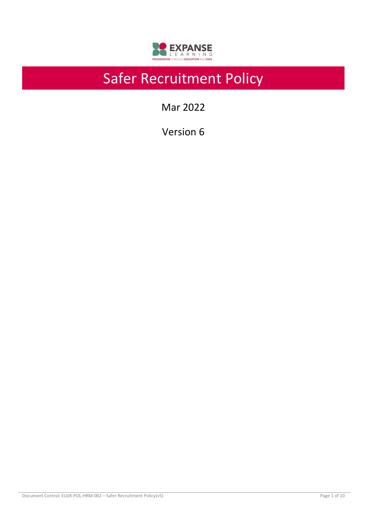

# Safer Recruitment Policy

Mar 2022

Version 6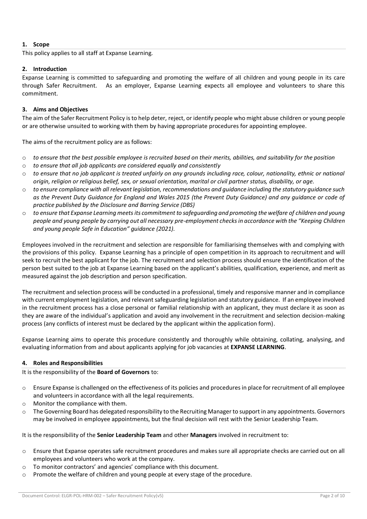# **1. Scope**

This policy applies to all staff at Expanse Learning.

## **2. Introduction**

Expanse Learning is committed to safeguarding and promoting the welfare of all children and young people in its care through Safer Recruitment. As an employer, Expanse Learning expects all employee and volunteers to share this commitment.

# **3. Aims and Objectives**

The aim of the Safer Recruitment Policy is to help deter, reject, or identify people who might abuse children or young people or are otherwise unsuited to working with them by having appropriate procedures for appointing employee.

The aims of the recruitment policy are as follows:

- o *to ensure that the best possible employee is recruited based on their merits, abilities, and suitability for the position*
- o *to ensure that all job applicants are considered equally and consistently*
- o *to ensure that no job applicant is treated unfairly on any grounds including race, colour, nationality, ethnic or national origin, religion or religious belief, sex, or sexual orientation, marital or civil partner status, disability, or age.*
- o *to ensure compliance with all relevant legislation, recommendations and guidance including the statutory guidance such as the Prevent Duty Guidance for England and Wales 2015 (the Prevent Duty Guidance) and any guidance or code of practice published by the Disclosure and Barring Service (DBS)*
- o *to ensure that Expanse Learning meets its commitment to safeguarding and promoting the welfare of children and young people and young people by carrying out all necessary pre-employment checks in accordance with the "Keeping Children and young people Safe in Education" guidance (2021).*

Employees involved in the recruitment and selection are responsible for familiarising themselves with and complying with the provisions of this policy. Expanse Learning has a principle of open competition in its approach to recruitment and will seek to recruit the best applicant for the job. The recruitment and selection process should ensure the identification of the person best suited to the job at Expanse Learning based on the applicant's abilities, qualification, experience, and merit as measured against the job description and person specification.

The recruitment and selection process will be conducted in a professional, timely and responsive manner and in compliance with current employment legislation, and relevant safeguarding legislation and statutory guidance. If an employee involved in the recruitment process has a close personal or familial relationship with an applicant, they must declare it as soon as they are aware of the individual's application and avoid any involvement in the recruitment and selection decision-making process (any conflicts of interest must be declared by the applicant within the application form).

Expanse Learning aims to operate this procedure consistently and thoroughly while obtaining, collating, analysing, and evaluating information from and about applicants applying for job vacancies at **EXPANSE LEARNING**.

## **4. Roles and Responsibilities**

It is the responsibility of the **Board of Governors** to:

- $\circ$  Ensure Expanse is challenged on the effectiveness of its policies and procedures in place for recruitment of all employee and volunteers in accordance with all the legal requirements.
- o Monitor the compliance with them.
- $\circ$  The Governing Board has delegated responsibility to the Recruiting Manager to support in any appointments. Governors may be involved in employee appointments, but the final decision will rest with the Senior Leadership Team.

It is the responsibility of the **Senior Leadership Team** and other **Managers** involved in recruitment to:

- o Ensure that Expanse operates safe recruitment procedures and makes sure all appropriate checks are carried out on all employees and volunteers who work at the company.
- o To monitor contractors' and agencies' compliance with this document.
- o Promote the welfare of children and young people at every stage of the procedure.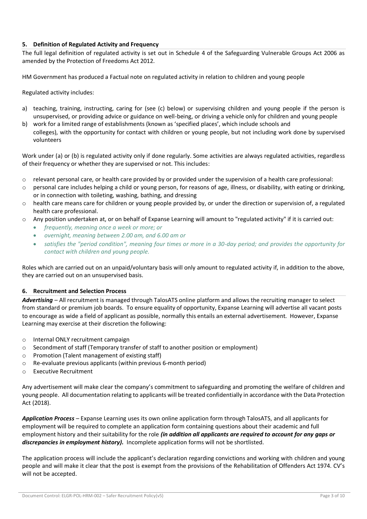## **5. Definition of Regulated Activity and Frequency**

The full legal definition of regulated activity is set out in Schedule 4 of the Safeguarding Vulnerable Groups Act 2006 as amended by the Protection of Freedoms Act 2012.

HM Government has produced a Factual note on regulated activity in relation to children and young people

Regulated activity includes:

- a) teaching, training, instructing, caring for (see (c) below) or supervising children and young people if the person is unsupervised, or providing advice or guidance on well-being, or driving a vehicle only for children and young people
- b) work for a limited range of establishments (known as 'specified places', which include schools and colleges), with the opportunity for contact with children or young people, but not including work done by supervised volunteers

Work under (a) or (b) is regulated activity only if done regularly. Some activities are always regulated activities, regardless of their frequency or whether they are supervised or not. This includes:

- $\circ$  relevant personal care, or health care provided by or provided under the supervision of a health care professional:
- $\circ$  personal care includes helping a child or young person, for reasons of age, illness, or disability, with eating or drinking, or in connection with toileting, washing, bathing, and dressing
- $\circ$  health care means care for children or young people provided by, or under the direction or supervision of, a regulated health care professional.
- o Any position undertaken at, or on behalf of Expanse Learning will amount to "regulated activity" if it is carried out:
	- *frequently, meaning once a week or more; or*
	- *overnight, meaning between 2.00 am, and 6.00 am or*
	- *satisfies the "period condition", meaning four times or more in a 30-day period; and provides the opportunity for contact with children and young people.*

Roles which are carried out on an unpaid/voluntary basis will only amount to regulated activity if, in addition to the above, they are carried out on an unsupervised basis.

## **6. Recruitment and Selection Process**

*Advertising –* All recruitment is managed through TalosATS online platform and allows the recruiting manager to select from standard or premium job boards. To ensure equality of opportunity, Expanse Learning will advertise all vacant posts to encourage as wide a field of applicant as possible, normally this entails an external advertisement. However, Expanse Learning may exercise at their discretion the following:

- o Internal ONLY recruitment campaign
- o Secondment of staff (Temporary transfer of staff to another position or employment)
- o Promotion (Talent management of existing staff)
- o Re-evaluate previous applicants (within previous 6-month period)
- o Executive Recruitment

Any advertisement will make clear the company's commitment to safeguarding and promoting the welfare of children and young people. All documentation relating to applicants will be treated confidentially in accordance with the Data Protection Act (2018).

*Application Process –* Expanse Learning uses its own online application form through TalosATS, and all applicants for employment will be required to complete an application form containing questions about their academic and full employment history and their suitability for the role *(in addition all applicants are required to account for any gaps or discrepancies in employment history).* Incomplete application forms will not be shortlisted.

The application process will include the applicant's declaration regarding convictions and working with children and young people and will make it clear that the post is exempt from the provisions of the Rehabilitation of Offenders Act 1974. CV's will not be accepted.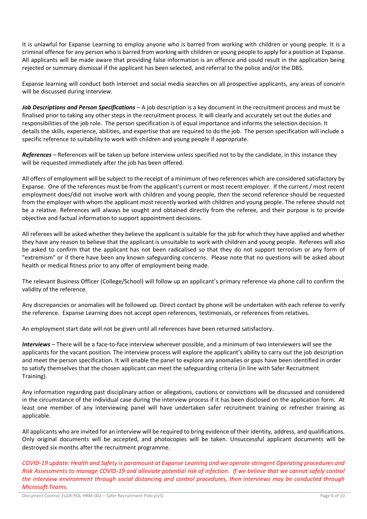It is unlawful for Expanse Learning to employ anyone who is barred from working with children or young people. It is a criminal offence for any person who is barred from working with children or young people to apply for a position at Expanse. All applicants will be made aware that providing false information is an offence and could result in the application being rejected or summary dismissal if the applicant has been selected, and referral to the police and/or the DBS.

Expanse learning will conduct both internet and social media searches on all prospective applicants, any areas of concern will be discussed during interview.

*Job Descriptions and Person Specifications –* A job description is a key document in the recruitment process and must be finalised prior to taking any other steps in the recruitment process. It will clearly and accurately set out the duties and responsibilities of the job role. The person specification is of equal importance and informs the selection decision. It details the skills, experience, abilities, and expertise that are required to do the job. The person specification will include a specific reference to suitability to work with children and young people if appropriate.

*References –* References will be taken up before interview unless specified not to by the candidate, in this instance they will be requested immediately after the job has been offered.

All offers of employment will be subject to the receipt of a minimum of two references which are considered satisfactory by Expanse. One of the references must be from the applicant's current or most recent employer. If the current / most recent employment does/did not involve work with children and young people, then the second reference should be requested from the employer with whom the applicant most recently worked with children and young people. The referee should not be a relative. References will always be sought and obtained directly from the referee, and their purpose is to provide objective and factual information to support appointment decisions.

All referees will be asked whether they believe the applicant is suitable for the job for which they have applied and whether they have any reason to believe that the applicant is unsuitable to work with children and young people. Referees will also be asked to confirm that the applicant has not been radicalised so that they do not support terrorism or any form of "extremism" or if there have been any known safeguarding concerns. Please note that no questions will be asked about health or medical fitness prior to any offer of employment being made.

The relevant Business Officer (College/School) will follow up an applicant's primary reference via phone call to confirm the validity of the reference.

Any discrepancies or anomalies will be followed up. Direct contact by phone will be undertaken with each referee to verify the reference. Expanse Learning does not accept open references, testimonials, or references from relatives.

An employment start date will not be given until all references have been returned satisfactory.

*Interviews –* There will be a face-to-face interview wherever possible, and a minimum of two interviewers will see the applicants for the vacant position. The interview process will explore the applicant's ability to carry out the job description and meet the person specification. It will enable the panel to explore any anomalies or gaps have been identified in order to satisfy themselves that the chosen applicant can meet the safeguarding criteria (in line with Safer Recruitment Training).

Any information regarding past disciplinary action or allegations, cautions or convictions will be discussed and considered in the circumstance of the individual case during the interview process if it has been disclosed on the application form. At least one member of any interviewing panel will have undertaken safer recruitment training or refresher training as applicable.

All applicants who are invited for an interview will be required to bring evidence of their identity, address, and qualifications. Only original documents will be accepted, and photocopies will be taken. Unsuccessful applicant documents will be destroyed six months after the recruitment programme.

*COVID-19 update: Health and Safety is paramount at Expanse Learning and we operate stringent Operating procedures and Risk Assessments to manage COVID-19 and alleviate potential risk of infection. If we believe that we cannot safely control the interview environment through social distancing and control procedures, then interviews may be conducted through Microsoft Teams.*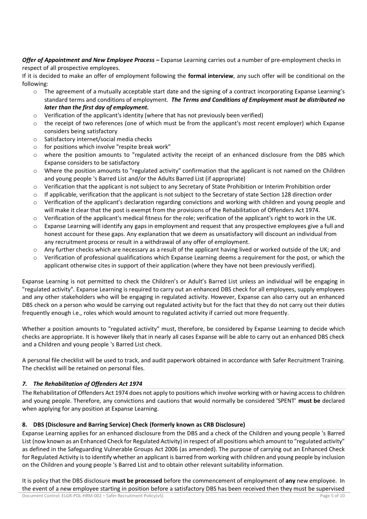*Offer of Appointment and New Employee Process –* Expanse Learning carries out a number of pre-employment checks in respect of all prospective employees.

If it is decided to make an offer of employment following the **formal interview**, any such offer will be conditional on the following:

- $\circ$  The agreement of a mutually acceptable start date and the signing of a contract incorporating Expanse Learning's standard terms and conditions of employment. *The Terms and Conditions of Employment must be distributed no later than the first day of employment.*
- $\circ$  Verification of the applicant's identity (where that has not previously been verified)
- o the receipt of two references (one of which must be from the applicant's most recent employer) which Expanse considers being satisfactory
- o Satisfactory internet/social media checks
- o for positions which involve "respite break work"
- o where the position amounts to "regulated activity the receipt of an enhanced disclosure from the DBS which Expanse considers to be satisfactory
- o Where the position amounts to "regulated activity" confirmation that the applicant is not named on the Children and young people 's Barred List and/or the Adults Barred List (if appropriate)
- $\circ$  Verification that the applicant is not subject to any Secretary of State Prohibition or Interim Prohibition order
- $\circ$  If applicable, verification that the applicant is not subject to the Secretary of state Section 128 direction order
- $\circ$  Verification of the applicant's declaration regarding convictions and working with children and young people and will make it clear that the post is exempt from the provisions of the Rehabilitation of Offenders Act 1974.
- $\circ$  Verification of the applicant's medical fitness for the role; verification of the applicant's right to work in the UK.
- $\circ$  Expanse Learning will identify any gaps in employment and request that any prospective employees give a full and honest account for these gaps. Any explanation that we deem as unsatisfactory will discount an individual from any recruitment process or result in a withdrawal of any offer of employment.
- o Any further checks which are necessary as a result of the applicant having lived or worked outside of the UK; and
- $\circ$  Verification of professional qualifications which Expanse Learning deems a requirement for the post, or which the applicant otherwise cites in support of their application (where they have not been previously verified).

Expanse Learning is not permitted to check the Children's or Adult's Barred List unless an individual will be engaging in "regulated activity". Expanse Learning is required to carry out an enhanced DBS check for all employees, supply employees and any other stakeholders who will be engaging in regulated activity. However, Expanse can also carry out an enhanced DBS check on a person who would be carrying out regulated activity but for the fact that they do not carry out their duties frequently enough i.e., roles which would amount to regulated activity if carried out more frequently.

Whether a position amounts to "regulated activity" must, therefore, be considered by Expanse Learning to decide which checks are appropriate. It is however likely that in nearly all cases Expanse will be able to carry out an enhanced DBS check and a Children and young people 's Barred List check.

A personal file checklist will be used to track, and audit paperwork obtained in accordance with Safer Recruitment Training. The checklist will be retained on personal files.

## *7. The Rehabilitation of Offenders Act 1974*

The Rehabilitation of Offenders Act 1974 does not apply to positions which involve working with or having access to children and young people. Therefore, any convictions and cautions that would normally be considered 'SPENT' **must be** declared when applying for any position at Expanse Learning.

## **8. DBS (Disclosure and Barring Service) Check (formerly known as CRB Disclosure)**

Expanse Learning applies for an enhanced disclosure from the DBS and a check of the Children and young people 's Barred List (now known as an Enhanced Check for Regulated Activity) in respect of all positions which amount to "regulated activity" as defined in the Safeguarding Vulnerable Groups Act 2006 (as amended). The purpose of carrying out an Enhanced Check for Regulated Activity is to identify whether an applicant is barred from working with children and young people by inclusion on the Children and young people 's Barred List and to obtain other relevant suitability information.

It is policy that the DBS disclosure **must be processed** before the commencement of employment of **any** new employee. In the event of a new employee starting in position before a satisfactory DBS has been received then they must be supervised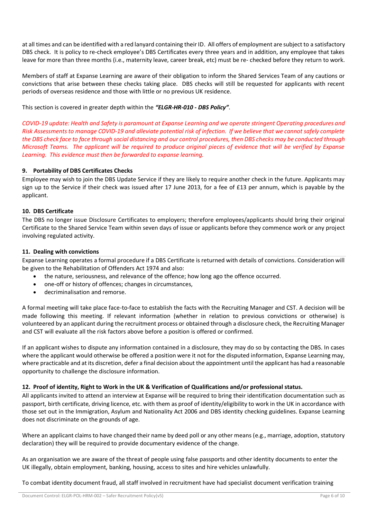at all times and can be identified with a red lanyard containing their ID. All offers of employment are subject to a satisfactory DBS check. It is policy to re-check employee's DBS Certificates every three years and in addition, any employee that takes leave for more than three months (i.e., maternity leave, career break, etc) must be re- checked before they return to work.

Members of staff at Expanse Learning are aware of their obligation to inform the Shared Services Team of any cautions or convictions that arise between these checks taking place. DBS checks will still be requested for applicants with recent periods of overseas residence and those with little or no previous UK residence.

This section is covered in greater depth within the *"ELGR-HR-010 - DBS Policy"*.

*COVID-19 update: Health and Safety is paramount at Expanse Learning and we operate stringent Operating procedures and Risk Assessments to manage COVID-19 and alleviate potential risk of infection. If we believe that we cannot safely complete the DBS check face to face through social distancing and our control procedures, then DBS checks may be conducted through Microsoft Teams. The applicant will be required to produce original pieces of evidence that will be verified by Expanse Learning. This evidence must then be forwarded to expanse learning.*

# **9. Portability of DBS Certificates Checks**

Employee may wish to join the DBS Update Service if they are likely to require another check in the future. Applicants may sign up to the Service if their check was issued after 17 June 2013, for a fee of £13 per annum, which is payable by the applicant.

## **10. DBS Certificate**

The DBS no longer issue Disclosure Certificates to employers; therefore employees/applicants should bring their original Certificate to the Shared Service Team within seven days of issue or applicants before they commence work or any project involving regulated activity.

## **11. Dealing with convictions**

Expanse Learning operates a formal procedure if a DBS Certificate is returned with details of convictions. Consideration will be given to the Rehabilitation of Offenders Act 1974 and also:

- the nature, seriousness, and relevance of the offence; how long ago the offence occurred.
- one-off or history of offences; changes in circumstances,
- decriminalisation and remorse.

A formal meeting will take place face-to-face to establish the facts with the Recruiting Manager and CST. A decision will be made following this meeting. If relevant information (whether in relation to previous convictions or otherwise) is volunteered by an applicant during the recruitment process or obtained through a disclosure check, the Recruiting Manager and CST will evaluate all the risk factors above before a position is offered or confirmed.

If an applicant wishes to dispute any information contained in a disclosure, they may do so by contacting the DBS. In cases where the applicant would otherwise be offered a position were it not for the disputed information, Expanse Learning may, where practicable and at its discretion, defer a final decision about the appointment until the applicant has had a reasonable opportunity to challenge the disclosure information.

## **12. Proof of identity, Right to Work in the UK & Verification of Qualifications and/or professional status.**

All applicants invited to attend an interview at Expanse will be required to bring their identification documentation such as passport, birth certificate, driving licence, etc. with them as proof of identity/eligibility to work in the UK in accordance with those set out in the Immigration, Asylum and Nationality Act 2006 and DBS identity checking guidelines. Expanse Learning does not discriminate on the grounds of age.

Where an applicant claims to have changed their name by deed poll or any other means (e.g., marriage, adoption, statutory declaration) they will be required to provide documentary evidence of the change.

As an organisation we are aware of the threat of people using false passports and other identity documents to enter the UK illegally, obtain employment, banking, housing, access to sites and hire vehicles unlawfully.

To combat identity document fraud, all staff involved in recruitment have had specialist document verification training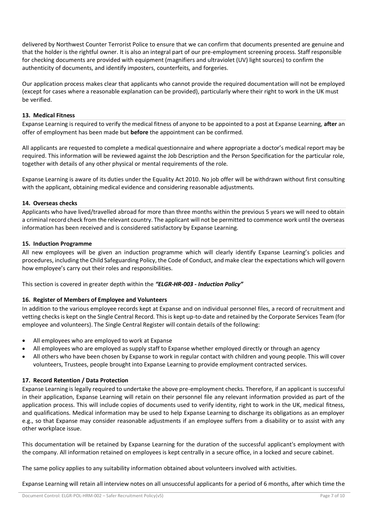delivered by Northwest Counter Terrorist Police to ensure that we can confirm that documents presented are genuine and that the holder is the rightful owner. It is also an integral part of our pre-employment screening process. Staff responsible for checking documents are provided with equipment (magnifiers and ultraviolet (UV) light sources) to confirm the authenticity of documents, and identify imposters, counterfeits, and forgeries.

Our application process makes clear that applicants who cannot provide the required documentation will not be employed (except for cases where a reasonable explanation can be provided), particularly where their right to work in the UK must be verified.

## **13. Medical Fitness**

Expanse Learning is required to verify the medical fitness of anyone to be appointed to a post at Expanse Learning, **after** an offer of employment has been made but **before** the appointment can be confirmed.

All applicants are requested to complete a medical questionnaire and where appropriate a doctor's medical report may be required. This information will be reviewed against the Job Description and the Person Specification for the particular role, together with details of any other physical or mental requirements of the role.

Expanse Learning is aware of its duties under the Equality Act 2010. No job offer will be withdrawn without first consulting with the applicant, obtaining medical evidence and considering reasonable adjustments.

## **14. Overseas checks**

Applicants who have lived/travelled abroad for more than three months within the previous 5 years we will need to obtain a criminal record check from the relevant country. The applicant will not be permitted to commence work until the overseas information has been received and is considered satisfactory by Expanse Learning.

## **15. Induction Programme**

All new employees will be given an induction programme which will clearly identify Expanse Learning's policies and procedures, including the Child Safeguarding Policy, the Code of Conduct, and make clear the expectations which will govern how employee's carry out their roles and responsibilities.

This section is covered in greater depth within the *"ELGR-HR-003 - Induction Policy"*

## **16. Register of Members of Employee and Volunteers**

In addition to the various employee records kept at Expanse and on individual personnel files, a record of recruitment and vetting checks is kept on the Single Central Record. This is kept up-to-date and retained by the Corporate Services Team (for employee and volunteers). The Single Central Register will contain details of the following:

- All employees who are employed to work at Expanse
- All employees who are employed as supply staff to Expanse whether employed directly or through an agency
- All others who have been chosen by Expanse to work in regular contact with children and young people. This will cover volunteers, Trustees, people brought into Expanse Learning to provide employment contracted services.

## **17. Record Retention / Data Protection**

Expanse Learning is legally required to undertake the above pre-employment checks. Therefore, if an applicant is successful in their application, Expanse Learning will retain on their personnel file any relevant information provided as part of the application process. This will include copies of documents used to verify identity, right to work in the UK, medical fitness, and qualifications. Medical information may be used to help Expanse Learning to discharge its obligations as an employer e.g., so that Expanse may consider reasonable adjustments if an employee suffers from a disability or to assist with any other workplace issue.

This documentation will be retained by Expanse Learning for the duration of the successful applicant's employment with the company. All information retained on employees is kept centrally in a secure office, in a locked and secure cabinet.

The same policy applies to any suitability information obtained about volunteers involved with activities.

Expanse Learning will retain all interview notes on all unsuccessful applicants for a period of 6 months, after which time the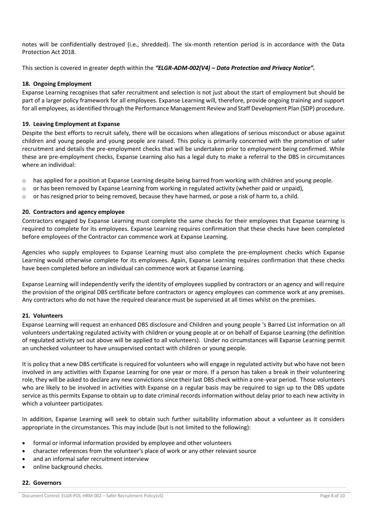notes will be confidentially destroyed (i.e., shredded). The six-month retention period is in accordance with the Data Protection Act 2018.

This section is covered in greater depth within the *"ELGR-ADM-002(V4) – Data Protection and Privacy Notice".*

#### **18. Ongoing Employment**

Expanse Learning recognises that safer recruitment and selection is not just about the start of employment but should be part of a larger policy framework for all employees. Expanse Learning will, therefore, provide ongoing training and support for all employees, as identified through the Performance Management Review and Staff Development Plan (SDP) procedure.

#### **19. Leaving Employment at Expanse**

Despite the best efforts to recruit safely, there will be occasions when allegations of serious misconduct or abuse against children and young people and young people are raised. This policy is primarily concerned with the promotion of safer recruitment and details the pre-employment checks that will be undertaken prior to employment being confirmed. While these are pre-employment checks, Expanse Learning also has a legal duty to make a referral to the DBS in circumstances where an individual:

- $\circ$  has applied for a position at Expanse Learning despite being barred from working with children and young people.
- $\circ$  or has been removed by Expanse Learning from working in regulated activity (whether paid or unpaid),
- $\circ$  or has resigned prior to being removed, because they have harmed, or pose a risk of harm to, a child.

## **20. Contractors and agency employee**

Contractors engaged by Expanse Learning must complete the same checks for their employees that Expanse Learning is required to complete for its employees. Expanse Learning requires confirmation that these checks have been completed before employees of the Contractor can commence work at Expanse Learning.

Agencies who supply employees to Expanse Learning must also complete the pre-employment checks which Expanse Learning would otherwise complete for its employees. Again, Expanse Learning requires confirmation that these checks have been completed before an individual can commence work at Expanse Learning.

Expanse Learning will independently verify the identity of employees supplied by contractors or an agency and will require the provision of the original DBS certificate before contractors or agency employees can commence work at any premises. Any contractors who do not have the required clearance must be supervised at all times whilst on the premises.

#### **21. Volunteers**

Expanse Learning will request an enhanced DBS disclosure and Children and young people 's Barred List information on all volunteers undertaking regulated activity with children or young people at or on behalf of Expanse Learning (the definition of regulated activity set out above will be applied to all volunteers). Under no circumstances will Expanse Learning permit an unchecked volunteer to have unsupervised contact with children or young people.

It is policy that a new DBS certificate is required for volunteers who will engage in regulated activity but who have not been involved in any activities with Expanse Learning for one year or more. If a person has taken a break in their volunteering role, they will be asked to declare any new convictions since their last DBS check within a one-year period. Those volunteers who are likely to be involved in activities with Expanse on a regular basis may be required to sign up to the DBS update service as this permits Expanse to obtain up to date criminal records information without delay prior to each new activity in which a volunteer participates.

In addition, Expanse Learning will seek to obtain such further suitability information about a volunteer as it considers appropriate in the circumstances. This may include (but is not limited to the following):

- formal or informal information provided by employee and other volunteers
- character references from the volunteer's place of work or any other relevant source
- and an informal safer recruitment interview
- online background checks.

#### **22. Governors**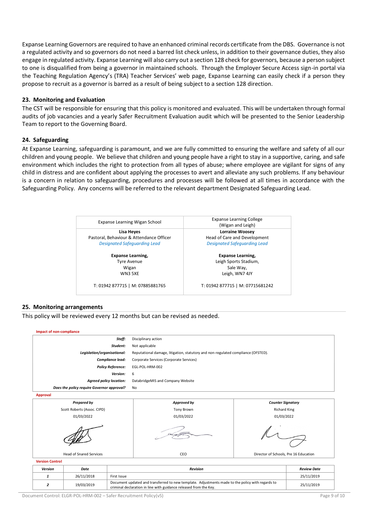Expanse Learning Governors are required to have an enhanced criminal records certificate from the DBS. Governance is not a regulated activity and so governors do not need a barred list check unless, in addition to their governance duties, they also engage in regulated activity. Expanse Learning will also carry out a section 128 check for governors, because a person subject to one is disqualified from being a governor in maintained schools. Through the Employer Secure Access sign-in portal via the Teaching Regulation Agency's (TRA) Teacher Services' web page, Expanse Learning can easily check if a person they propose to recruit as a governor is barred as a result of being subject to a section 128 direction.

## **23. Monitoring and Evaluation**

The CST will be responsible for ensuring that this policy is monitored and evaluated. This will be undertaken through formal audits of job vacancies and a yearly Safer Recruitment Evaluation audit which will be presented to the Senior Leadership Team to report to the Governing Board.

#### **24. Safeguarding**

At Expanse Learning, safeguarding is paramount, and we are fully committed to ensuring the welfare and safety of all our children and young people. We believe that children and young people have a right to stay in a supportive, caring, and safe environment which includes the right to protection from all types of abuse; where employee are vigilant for signs of any child in distress and are confident about applying the processes to avert and alleviate any such problems. If any behaviour is a concern in relation to safeguarding, procedures and processes will be followed at all times in accordance with the Safeguarding Policy. Any concerns will be referred to the relevant department Designated Safeguarding Lead.

| Expanse Learning Wigan School            | <b>Expanse Learning College</b><br>(Wigan and Leigh) |  |  |
|------------------------------------------|------------------------------------------------------|--|--|
| Lisa Heyes                               | <b>Lorraine Woosey</b>                               |  |  |
| Pastoral, Behaviour & Attendance Officer | Head of Care and Development                         |  |  |
| <b>Designated Safeguarding Lead</b>      | <b>Designated Safeguarding Lead</b>                  |  |  |
| <b>Expanse Learning,</b>                 | <b>Expanse Learning,</b>                             |  |  |
| <b>Tyre Avenue</b>                       | Leigh Sports Stadium,                                |  |  |
| Wigan                                    | Sale Way,                                            |  |  |
| <b>WN3 5XE</b>                           | Leigh, WN7 4JY                                       |  |  |
| T: 01942 877715   M: 07885881765         | T: 01942 877715   M: 07715681242                     |  |  |

#### **25. Monitoring arrangements**

This policy will be reviewed every 12 months but can be revised as needed.



*Version Date Revision Review Date 1* 26/11/2018 First Issue 25/11/2019 **2** 19/03/2019 Document updated and transferred to new template. Adjustments made to the policy with regards to Document updated and transferred to new template. Adjustments made to the policy with regards to<br>criminal declaration in line with guidance released from the Key.

Document Control: ELGR-POL-HRM-002 – Safer Recruitment Policy(v5) Page 9 of 10